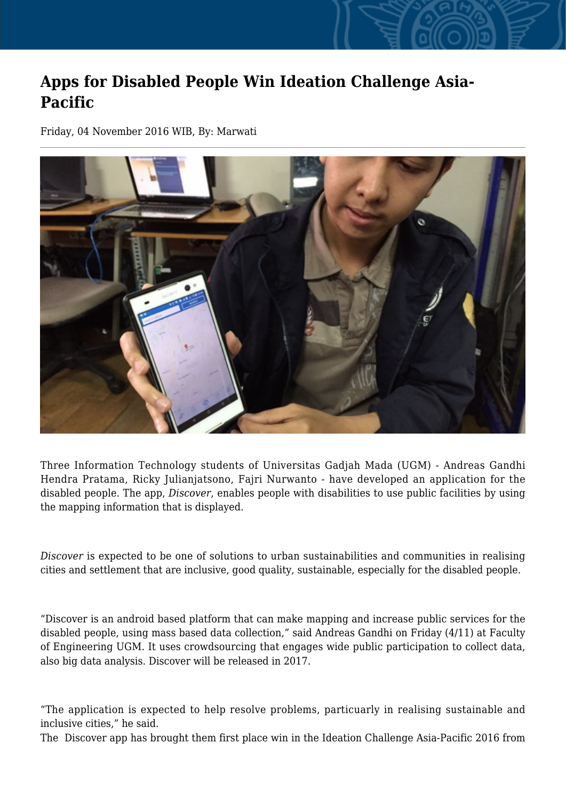## **Apps for Disabled People Win Ideation Challenge Asia-Pacific**

Friday, 04 November 2016 WIB, By: Marwati



Three Information Technology students of Universitas Gadjah Mada (UGM) - Andreas Gandhi Hendra Pratama, Ricky Julianjatsono, Fajri Nurwanto - have developed an application for the disabled people. The app, *Discover*, enables people with disabilities to use public facilities by using the mapping information that is displayed.

*Discover* is expected to be one of solutions to urban sustainabilities and communities in realising cities and settlement that are inclusive, good quality, sustainable, especially for the disabled people.

"Discover is an android based platform that can make mapping and increase public services for the disabled people, using mass based data collection," said Andreas Gandhi on Friday (4/11) at Faculty of Engineering UGM. It uses crowdsourcing that engages wide public participation to collect data, also big data analysis. Discover will be released in 2017.

"The application is expected to help resolve problems, particuarly in realising sustainable and inclusive cities," he said.

The Discover app has brought them first place win in the Ideation Challenge Asia-Pacific 2016 from